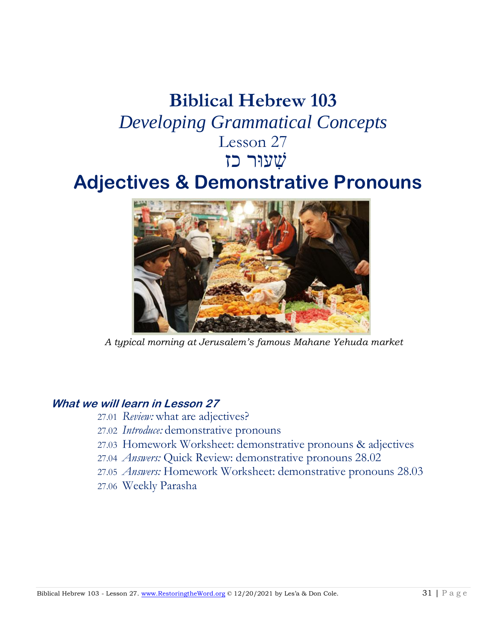# **Biblical Hebrew 103** *Developing Grammatical Concepts* Lesson 27 שׁ ִעוּר כזִ

## **Adjectives & Demonstrative Pronouns**



*A typical morning at Jerusalem's famous Mahane Yehuda market* 

## **What we will learn in Lesson 27**

- 27.01 *Review:* what are adjectives?
- 27.02 *Introduce:* demonstrative pronouns
- 27.03 Homework Worksheet: demonstrative pronouns & adjectives
- 27.04 *Answers:* Quick Review: demonstrative pronouns 28.02
- 27.05 *Answers:* Homework Worksheet: demonstrative pronouns 28.03
- 27.06 Weekly Parasha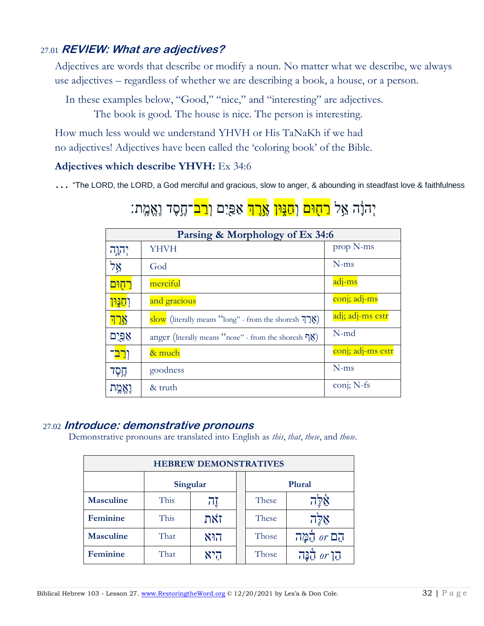## 27.01 **REVIEW: What are adjectives?**

Adjectives are words that describe or modify a noun. No matter what we describe, we always use adjectives – regardless of whether we are describing a book, a house, or a person.

In these examples below, "Good," "nice," and "interesting" are adjectives.

The book is good. The house is nice. The person is interesting.

How much less would we understand YHVH or His TaNaKh if we had no adjectives! Adjectives have been called the 'coloring book' of the Bible.

### **Adjectives which describe YHVH:** Ex 34:6

… "The LORD, the LORD, a God merciful and gracious, slow to anger, & abounding in steadfast love & faithfulness

## יִהוָּ֫ה אֵל <mark>רַחִוּם</mark> וְ<mark>חַנִּוּן אֱרֵה</mark> אַפַּיִם וְ<mark>רַב</mark>־חֵסֶד וֵאֱמֱת:

| Parsing & Morphology of Ex 34:6 |                                                                        |                   |
|---------------------------------|------------------------------------------------------------------------|-------------------|
| יהוה '                          | <b>YHVH</b>                                                            | prop N-ms         |
| אֵל                             | God                                                                    | $N$ -ms           |
| <u>רחִוּם</u>                   | merciful                                                               | adj-ms            |
| <u>וְחַגְּוֹן</u>               | and gracious                                                           | conj; adj-ms      |
| <u>אָרְךָ</u>                   | Slow (literally means "long" - from the shoresh $\overline{P}$ )       | adj; adj-ms cstr  |
| <u>אַפּיִם</u>                  | anger (literally means "nose" - from the shoresh $\sqrt{\frac{8}{}}$ ) | $N$ -md           |
| ו <mark>רב</mark> ־             | & much                                                                 | conj; adj-ms cstr |
| הֶסֶד                           | goodness                                                               | $N$ -ms           |
|                                 | & truth                                                                | conj; N-fs        |

## 27.02 **Introduce: demonstrative pronouns**

Demonstrative pronouns are translated into English as *this*, *that*, *these*, and *those*.

| <b>HEBREW DEMONSTRATIVES</b> |          |     |  |        |                     |
|------------------------------|----------|-----|--|--------|---------------------|
|                              | Singular |     |  | Plural |                     |
| <b>Masculine</b>             | This     | 可   |  | These  | אָלָה               |
| Feminine                     | This     | זאת |  | These  | $7\overline{28}$    |
| <b>Masculine</b>             | That     | הוא |  | Those  | הֵם or הֵמֲה        |
| <b>Feminine</b>              | That     | היא |  | Those  | הן <i>or</i> הַבָּה |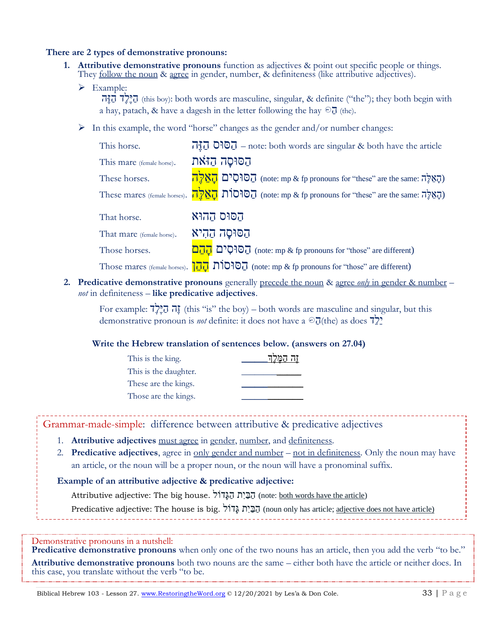#### **There are 2 types of demonstrative pronouns:**

- **1. Attributive demonstrative pronouns** function as adjectives & point out specific people or things. They <u>follow the noun</u> & agree in gender, number, & definiteness (like attributive adjectives).
	- ➢ Example:

הֵיִּלֶל  $\overline{1}$  (this boy): both words are masculine, singular, & definite ("the"); they both begin with a hay, patach, & have a dagesh in the letter following the hay  $\odot$   $\overline{J}$  (the).

 $\triangleright$  In this example, the word "horse" changes as the gender and/or number changes:

| This horse.               | $\vec{u}$ , $\vec{v}$ $\vec{v}$ $\vec{v}$ = note: both words are singular & both have the article |
|---------------------------|---------------------------------------------------------------------------------------------------|
| This mare (female horse). | הַסּוּסַה הַזֹּאת                                                                                 |
| These horses.             | הַסוּסִים הַאֲלֶה (note: mp & fp pronouns for "these" are the same: הָאֵלֶה                       |
|                           | These mares (female horses). הַאֲלֶה, (note: mp & fp pronouns for "these" are the same: הָאֵלֶה)  |
| That horse.               | הסוּס הַהוּא                                                                                      |
| That mare (female horse). | הסוּסָה הַהִיא                                                                                    |

Those horses.  $\overline{D_{10}}$   $\overline{D_{10}}$  (note: mp & fp pronouns for "those" are different)

Those mares (female horses).  $\overline{AD}$   $\overline{OD}$  $\overline{OD}$  (note: mp & fp pronouns for "those" are different)

**2. Predicative demonstrative pronouns** generally precede the noun & agree *only* in gender & number – *not* in definiteness – **like predicative adjectives**.

For example:  $\vec{r}$ ה הֱלֶךְ, (this "is" the boy) – both words are masculine and singular, but this demonstrative pronoun is *not* definite: it does not have a  $\partial \overline{J}$ (the) as does  $\overline{J}$ ?

#### **Write the Hebrew translation of sentences below. (answers on 27.04)**

| This is the king.     | זה המי |
|-----------------------|--------|
| This is the daughter. |        |
| These are the kings.  |        |
| Those are the kings.  |        |

Grammar-made-simple: difference between attributive & predicative adjectives

- 1. **Attributive adjectives** must agree in gender, number, and definiteness.
- 2. **Predicative adjectives**, agree in only gender and number not in definiteness. Only the noun may have an article, or the noun will be a proper noun, or the noun will have a pronominal suffix.

#### **Example of an attributive adjective & predicative adjective:**

Attributive adjective: The big house. הַבְּיָת הַגֲּדוֹל (note: <u>both words have the article</u>)

Predicative adjective: The house is big. הַבְּיָת גֲדוֹל (noun only has article; adjective does not have article)

Demonstrative pronouns in a nutshell:

**Predicative demonstrative pronouns** when only one of the two nouns has an article, then you add the verb "to be." **Attributive demonstrative pronouns** both two nouns are the same – either both have the article or neither does. In this case, you translate without the verb "to be.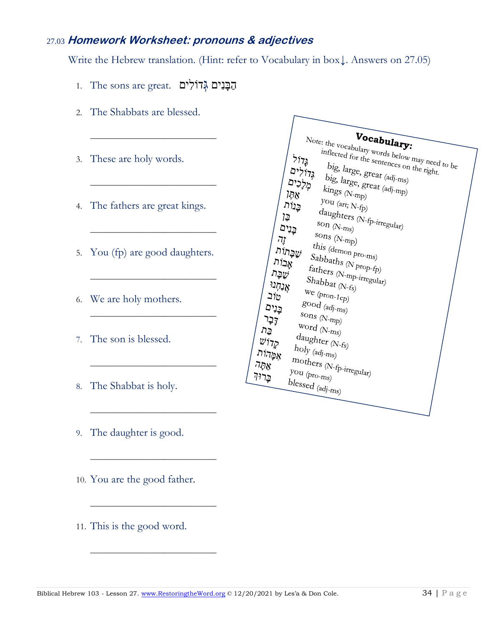## 27.03 **Homework Worksheet: pronouns & adjectives**

Write the Hebrew translation. (Hint: refer to Vocabulary in box↓. Answers on 27.05)

הַבָּנִים גָּדוֹלִים. The sons are great. הַבָּנִים

\_\_\_\_\_\_\_\_\_\_\_\_\_\_\_\_\_\_\_\_\_\_\_\_\_\_\_\_\_

\_\_\_\_\_\_\_\_\_\_\_\_\_\_\_\_\_\_\_\_\_\_\_\_\_\_\_\_\_

\_\_\_\_\_\_\_\_\_\_\_\_\_\_\_\_\_\_\_\_\_\_\_\_\_\_\_\_\_

\_\_\_\_\_\_\_\_\_\_\_\_\_\_\_\_\_\_\_\_\_\_\_\_\_\_\_\_\_

\_\_\_\_\_\_\_\_\_\_\_\_\_\_\_\_\_\_\_\_\_\_\_\_\_\_\_\_\_

\_\_\_\_\_\_\_\_\_\_\_\_\_\_\_\_\_\_\_\_\_\_\_\_\_\_\_\_\_

\_\_\_\_\_\_\_\_\_\_\_\_\_\_\_\_\_\_\_\_\_\_\_\_\_\_\_\_\_

\_\_\_\_\_\_\_\_\_\_\_\_\_\_\_\_\_\_\_\_\_\_\_\_\_\_\_\_\_

\_\_\_\_\_\_\_\_\_\_\_\_\_\_\_\_\_\_\_\_\_\_\_\_\_\_\_\_\_

\_\_\_\_\_\_\_\_\_\_\_\_\_\_\_\_\_\_\_\_\_\_\_\_\_\_\_\_\_

- 2. The Shabbats are blessed.
- 3. These are holy words.
- 4. The fathers are great kings.
- 5. You (fp) are good daughters.
- 6. We are holy mothers.
- 7. The son is blessed.
- 8. The Shabbat is holy.
- 9. The daughter is good.
- 10. You are the good father.
- 11. This is the good word.

| Vocabulary:<br>Note: the vocabulary words below may need to be         |
|------------------------------------------------------------------------|
| inflected for the sentences on the right.                              |
| גָ <i>דוֹל</i>                                                         |
| big, large, great (adj-ms)<br>גְּדוֹלִים                               |
| מְלָנִים                                                               |
| big, large, great $_{(adj\text{-}mp)}$<br>$\text{kings}$ (N-mp)<br>70x |
|                                                                        |
| $you (art; N-fp)$<br>בְנוֹת                                            |
| $d\textit{aughters}\ (\textit{N-fp-irregular})$<br>בֶן                 |
| son $(N-ms)$<br>בֲנִים                                                 |
| sons $(N$ -mp)<br><i>וֶר</i>                                           |
| ּשֶׁבָּתוֹת                                                            |
| this (demon pro- $n_{\text{IS}}$ )<br>Sabbaths (N prop-fp)             |
| אָבוֹת                                                                 |
| $\mathit{faths}_{\textit{c}}$ (N-mp-irregular)<br>שֲבָּת               |
| $Shabbat_{(N\text{-}f_{\text{S}})}$<br>אֲנַחְנוֹ                       |
| $we (pron-1cp)$<br>טוב                                                 |
| $g$ ood (adj- $n_{1s}$ )<br>בָנִים                                     |
| sons $(N$ -mp)<br>קָבָר                                                |
| $Word$ (N- $m_s$ )<br>בֵּת                                             |
|                                                                        |
| $d$ aughter (N-fs)<br>$\psi$ וֹל                                       |
| $holy_{\langle adj\text{-}m s\rangle}$<br>אַמֶּהוֹת                    |
| $m$ others (N-fp-irregular)<br>אַחֲה                                   |
| you $\left( pro\text{-}m_{s}\right)$<br>בֻּרוּדִ                       |
| $blessed$ (adj- $ms$ )                                                 |
|                                                                        |
|                                                                        |